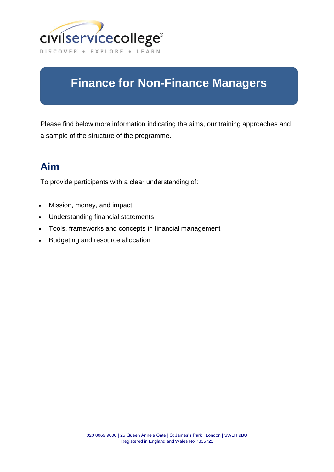

# **Finance for Non-Finance Managers**

Please find below more information indicating the aims, our training approaches and a sample of the structure of the programme.

### **Aim**

To provide participants with a clear understanding of:

- Mission, money, and impact
- Understanding financial statements
- Tools, frameworks and concepts in financial management
- Budgeting and resource allocation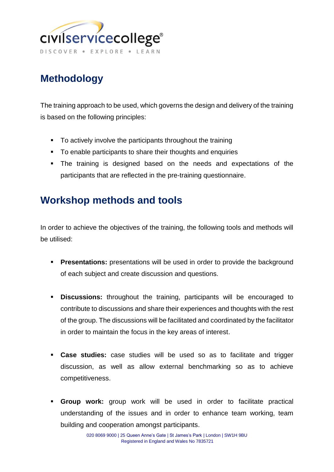

# **Methodology**

The training approach to be used, which governs the design and delivery of the training is based on the following principles:

- To actively involve the participants throughout the training
- To enable participants to share their thoughts and enquiries
- The training is designed based on the needs and expectations of the participants that are reflected in the pre-training questionnaire.

### **Workshop methods and tools**

In order to achieve the objectives of the training, the following tools and methods will be utilised:

- **Presentations:** presentations will be used in order to provide the background of each subject and create discussion and questions.
- **Discussions:** throughout the training, participants will be encouraged to contribute to discussions and share their experiences and thoughts with the rest of the group. The discussions will be facilitated and coordinated by the facilitator in order to maintain the focus in the key areas of interest.
- **Case studies:** case studies will be used so as to facilitate and trigger discussion, as well as allow external benchmarking so as to achieve competitiveness.
- **Group work:** group work will be used in order to facilitate practical understanding of the issues and in order to enhance team working, team building and cooperation amongst participants.